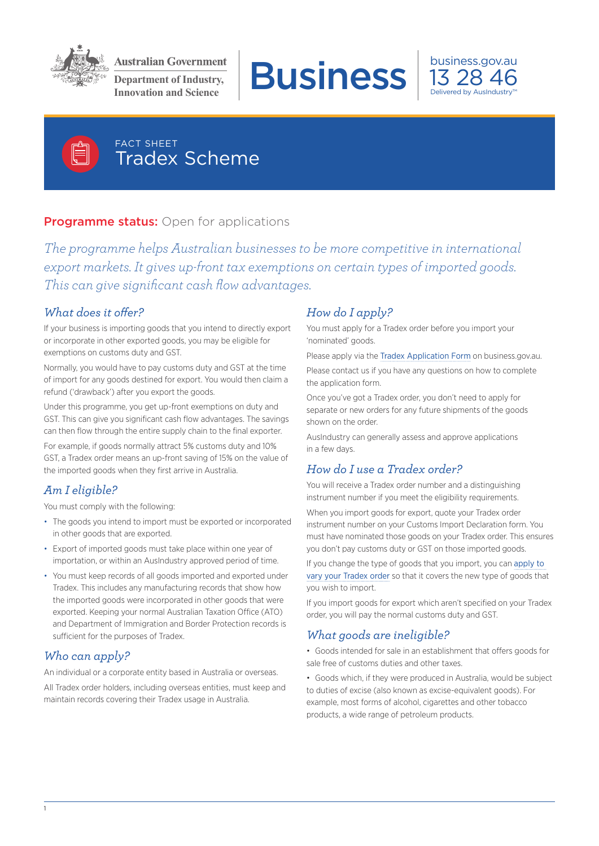

**Department of Industry,** 







## FACT SHEET Tradex Scheme

## **Programme status:** Open for applications

*The programme helps Australian businesses to be more competitive in international export markets. It gives up-front tax exemptions on certain types of imported goods. This can give significant cash flow advantages.*

#### *What does it offer?*

If your business is importing goods that you intend to directly export or incorporate in other exported goods, you may be eligible for exemptions on customs duty and GST.

Normally, you would have to pay customs duty and GST at the time of import for any goods destined for export. You would then claim a refund ('drawback') after you export the goods.

Under this programme, you get up-front exemptions on duty and GST. This can give you significant cash flow advantages. The savings can then flow through the entire supply chain to the final exporter.

For example, if goods normally attract 5% customs duty and 10% GST, a Tradex order means an up-front saving of 15% on the value of the imported goods when they first arrive in Australia.

# *Am I eligible?*

You must comply with the following:

- The goods you intend to import must be exported or incorporated in other goods that are exported.
- Export of imported goods must take place within one year of importation, or within an AusIndustry approved period of time.
- You must keep records of all goods imported and exported under Tradex. This includes any manufacturing records that show how the imported goods were incorporated in other goods that were exported. Keeping your normal Australian Taxation Office (ATO) and Department of Immigration and Border Protection records is sufficient for the purposes of Tradex.

### *Who can apply?*

An individual or a corporate entity based in Australia or overseas.

All Tradex order holders, including overseas entities, must keep and maintain records covering their Tradex usage in Australia.

### *How do I apply?*

You must apply for a Tradex order before you import your 'nominated' goods.

Please apply via the [Tradex Application Form](http://www.business.gov.au/grants-and-assistance/import-export/tradex/Pages/TRADEX-ApplicationForms.aspx) on business.gov.au.

Please contact us if you have any questions on how to complete the application form.

Once you've got a Tradex order, you don't need to apply for separate or new orders for any future shipments of the goods shown on the order.

AusIndustry can generally assess and approve applications in a few days.

## *How do I use a Tradex order?*

You will receive a Tradex order number and a distinguishing instrument number if you meet the eligibility requirements.

When you import goods for export, quote your Tradex order instrument number on your Customs Import Declaration form. You must have nominated those goods on your Tradex order. This ensures you don't pay customs duty or GST on those imported goods.

If you change the type of goods that you import, you can apply to [vary your Tradex order](http://www.business.gov.au/grants-and-assistance/import-export/tradex/Pages/TRADEX-ApplicationForms.aspx) so that it covers the new type of goods that you wish to import.

If you import goods for export which aren't specified on your Tradex order, you will pay the normal customs duty and GST.

#### *What goods are ineligible?*

• Goods intended for sale in an establishment that offers goods for sale free of customs duties and other taxes.

• Goods which, if they were produced in Australia, would be subject to duties of excise (also known as excise-equivalent goods). For example, most forms of alcohol, cigarettes and other tobacco products, a wide range of petroleum products.